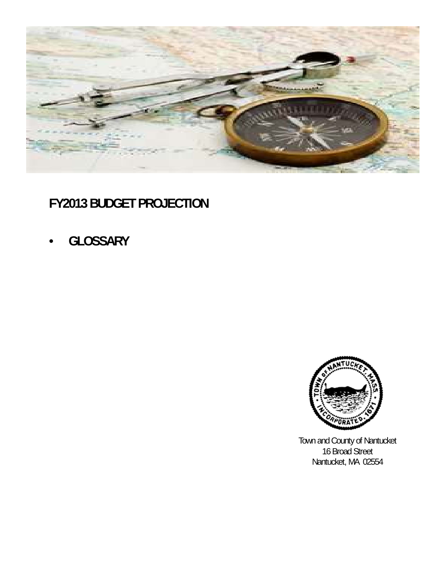

# **FY2013 BUDGET PROJECTION**

• **GLOSSARY**



Town and County of Nantucket 16 Broad Street Nantucket, MA 02554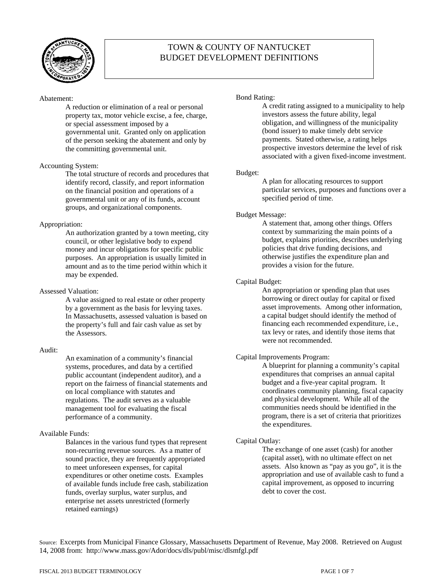

# TOWN & COUNTY OF NANTUCKET BUDGET DEVELOPMENT DEFINITIONS

# Abatement:

A reduction or elimination of a real or personal property tax, motor vehicle excise, a fee, charge, or special assessment imposed by a governmental unit. Granted only on application of the person seeking the abatement and only by the committing governmental unit.

# Accounting System:

The total structure of records and procedures that identify record, classify, and report information on the financial position and operations of a governmental unit or any of its funds, account groups, and organizational components.

# Appropriation:

An authorization granted by a town meeting, city council, or other legislative body to expend money and incur obligations for specific public purposes. An appropriation is usually limited in amount and as to the time period within which it may be expended.

# Assessed Valuation:

A value assigned to real estate or other property by a government as the basis for levying taxes. In Massachusetts, assessed valuation is based on the property's full and fair cash value as set by the Assessors.

# Audit:

An examination of a community's financial systems, procedures, and data by a certified public accountant (independent auditor), and a report on the fairness of financial statements and on local compliance with statutes and regulations. The audit serves as a valuable management tool for evaluating the fiscal performance of a community.

# Available Funds:

Balances in the various fund types that represent non-recurring revenue sources. As a matter of sound practice, they are frequently appropriated to meet unforeseen expenses, for capital expenditures or other onetime costs. Examples of available funds include free cash, stabilization funds, overlay surplus, water surplus, and enterprise net assets unrestricted (formerly retained earnings)

# Bond Rating:

A credit rating assigned to a municipality to help investors assess the future ability, legal obligation, and willingness of the municipality (bond issuer) to make timely debt service payments. Stated otherwise, a rating helps prospective investors determine the level of risk associated with a given fixed-income investment.

# Budget:

A plan for allocating resources to support particular services, purposes and functions over a specified period of time.

# Budget Message:

A statement that, among other things. Offers context by summarizing the main points of a budget, explains priorities, describes underlying policies that drive funding decisions, and otherwise justifies the expenditure plan and provides a vision for the future.

# Capital Budget:

An appropriation or spending plan that uses borrowing or direct outlay for capital or fixed asset improvements. Among other information, a capital budget should identify the method of financing each recommended expenditure, i.e., tax levy or rates, and identify those items that were not recommended.

# Capital Improvements Program:

A blueprint for planning a community's capital expenditures that comprises an annual capital budget and a five-year capital program. It coordinates community planning, fiscal capacity and physical development. While all of the communities needs should be identified in the program, there is a set of criteria that prioritizes the expenditures.

# Capital Outlay:

The exchange of one asset (cash) for another (capital asset), with no ultimate effect on net assets. Also known as "pay as you go", it is the appropriation and use of available cash to fund a capital improvement, as opposed to incurring debt to cover the cost.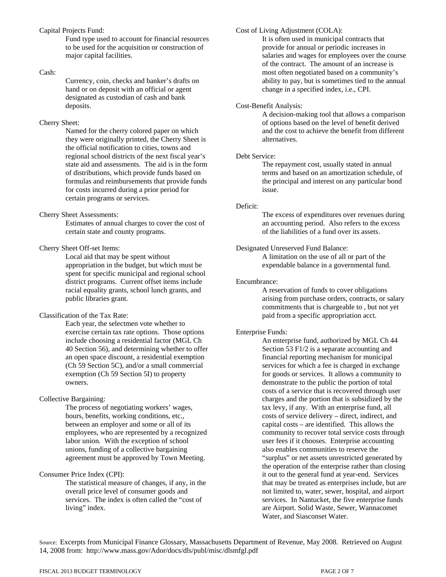#### Capital Projects Fund:

Fund type used to account for financial resources to be used for the acquisition or construction of major capital facilities.

#### Cash:

Currency, coin, checks and banker's drafts on hand or on deposit with an official or agent designated as custodian of cash and bank deposits.

#### Cherry Sheet:

Named for the cherry colored paper on which they were originally printed, the Cherry Sheet is the official notification to cities, towns and regional school districts of the next fiscal year's state aid and assessments. The aid is in the form of distributions, which provide funds based on formulas and reimbursements that provide funds for costs incurred during a prior period for certain programs or services.

# Cherry Sheet Assessments:

Estimates of annual charges to cover the cost of certain state and county programs.

#### Cherry Sheet Off-set Items:

Local aid that may be spent without appropriation in the budget, but which must be spent for specific municipal and regional school district programs. Current offset items include racial equality grants, school lunch grants, and public libraries grant.

#### Classification of the Tax Rate:

Each year, the selectmen vote whether to exercise certain tax rate options. Those options include choosing a residential factor (MGL Ch 40 Section 56), and determining whether to offer an open space discount, a residential exemption (Ch 59 Section 5C), and/or a small commercial exemption (Ch 59 Section 5I) to property owners.

# Collective Bargaining:

The process of negotiating workers' wages, hours, benefits, working conditions, etc., between an employer and some or all of its employees, who are represented by a recognized labor union. With the exception of school unions, funding of a collective bargaining agreement must be approved by Town Meeting.

# Consumer Price Index (CPI):

The statistical measure of changes, if any, in the overall price level of consumer goods and services. The index is often called the "cost of living" index.

## Cost of Living Adjustment (COLA):

It is often used in municipal contracts that provide for annual or periodic increases in salaries and wages for employees over the course of the contract. The amount of an increase is most often negotiated based on a community's ability to pay, but is sometimes tied to the annual change in a specified index, i.e., CPI.

## Cost-Benefit Analysis:

A decision-making tool that allows a comparison of options based on the level of benefit derived and the cost to achieve the benefit from different alternatives.

## Debt Service:

The repayment cost, usually stated in annual terms and based on an amortization schedule, of the principal and interest on any particular bond issue.

#### Deficit:

The excess of expenditures over revenues during an accounting period. Also refers to the excess of the liabilities of a fund over its assets.

# Designated Unreserved Fund Balance:

A limitation on the use of all or part of the expendable balance in a governmental fund.

#### Encumbrance:

A reservation of funds to cover obligations arising from purchase orders, contracts, or salary commitments that is chargeable to , but not yet paid from a specific appropriation acct.

# Enterprise Funds:

An enterprise fund, authorized by MGL Ch 44 Section 53 F1/2 is a separate accounting and financial reporting mechanism for municipal services for which a fee is charged in exchange for goods or services. It allows a community to demonstrate to the public the portion of total costs of a service that is recovered through user charges and the portion that is subsidized by the tax levy, if any. With an enterprise fund, all costs of service delivery – direct, indirect, and capital costs – are identified. This allows the community to recover total service costs through user fees if it chooses. Enterprise accounting also enables communities to reserve the "surplus" or net assets unrestricted generated by the operation of the enterprise rather than closing it out to the general fund at year-end. Services that may be treated as enterprises include, but are not limited to, water, sewer, hospital, and airport services. In Nantucket, the five enterprise funds are Airport. Solid Waste, Sewer, Wannacomet Water, and Siasconset Water.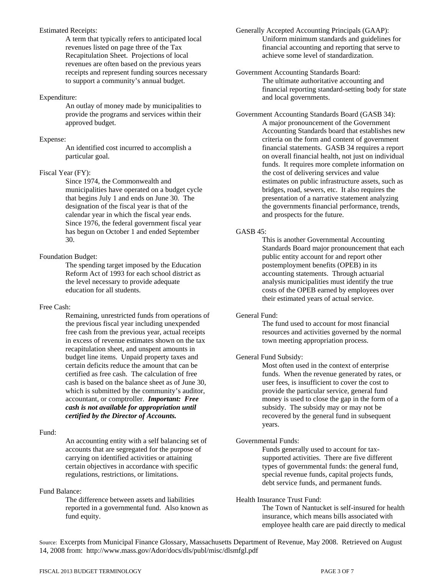# Estimated Receipts:

A term that typically refers to anticipated local revenues listed on page three of the Tax Recapitulation Sheet. Projections of local revenues are often based on the previous years receipts and represent funding sources necessary to support a community's annual budget.

# Expenditure:

An outlay of money made by municipalities to provide the programs and services within their approved budget.

# Expense:

An identified cost incurred to accomplish a particular goal.

# Fiscal Year (FY):

Since 1974, the Commonwealth and municipalities have operated on a budget cycle that begins July 1 and ends on June 30. The designation of the fiscal year is that of the calendar year in which the fiscal year ends. Since 1976, the federal government fiscal year has begun on October 1 and ended September 30.

# Foundation Budget:

The spending target imposed by the Education Reform Act of 1993 for each school district as the level necessary to provide adequate education for all students.

# Free Cash:

Remaining, unrestricted funds from operations of the previous fiscal year including unexpended free cash from the previous year, actual receipts in excess of revenue estimates shown on the tax recapitulation sheet, and unspent amounts in budget line items. Unpaid property taxes and certain deficits reduce the amount that can be certified as free cash. The calculation of free cash is based on the balance sheet as of June 30, which is submitted by the community's auditor, accountant, or comptroller. *Important: Free cash is not available for appropriation until certified by the Director of Accounts.* 

# Fund:

An accounting entity with a self balancing set of accounts that are segregated for the purpose of carrying on identified activities or attaining certain objectives in accordance with specific regulations, restrictions, or limitations.

# Fund Balance:

The difference between assets and liabilities reported in a governmental fund. Also known as fund equity.

Generally Accepted Accounting Principals (GAAP): Uniform minimum standards and guidelines for financial accounting and reporting that serve to achieve some level of standardization.

Government Accounting Standards Board: The ultimate authoritative accounting and financial reporting standard-setting body for state and local governments.

Government Accounting Standards Board (GASB 34): A major pronouncement of the Government Accounting Standards board that establishes new criteria on the form and content of government financial statements. GASB 34 requires a report on overall financial health, not just on individual funds. It requires more complete information on the cost of delivering services and value estimates on public infrastructure assets, such as bridges, road, sewers, etc. It also requires the presentation of a narrative statement analyzing the governments financial performance, trends, and prospects for the future.

# GASB 45:

This is another Governmental Accounting Standards Board major pronouncement that each public entity account for and report other postemployment benefits (OPEB) in its accounting statements. Through actuarial analysis municipalities must identify the true costs of the OPEB earned by employees over their estimated years of actual service.

# General Fund:

The fund used to account for most financial resources and activities governed by the normal town meeting appropriation process.

# General Fund Subsidy:

Most often used in the context of enterprise funds. When the revenue generated by rates, or user fees, is insufficient to cover the cost to provide the particular service, general fund money is used to close the gap in the form of a subsidy. The subsidy may or may not be recovered by the general fund in subsequent years.

# Governmental Funds:

Funds generally used to account for taxsupported activities. There are five different types of governmental funds: the general fund, special revenue funds, capital projects funds, debt service funds, and permanent funds.

# Health Insurance Trust Fund:

The Town of Nantucket is self-insured for health insurance, which means bills associated with employee health care are paid directly to medical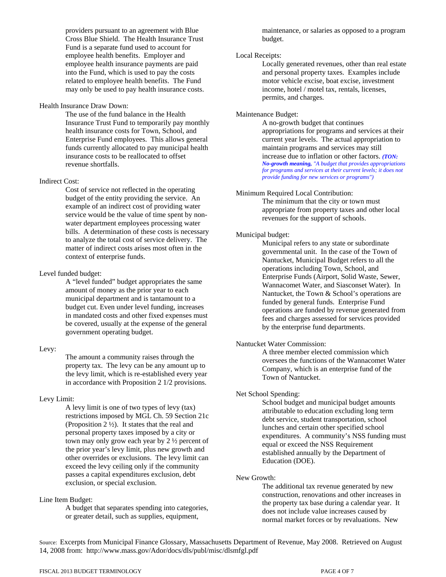providers pursuant to an agreement with Blue Cross Blue Shield. The Health Insurance Trust Fund is a separate fund used to account for employee health benefits. Employer and employee health insurance payments are paid into the Fund, which is used to pay the costs related to employee health benefits. The Fund may only be used to pay health insurance costs.

#### Health Insurance Draw Down:

 The use of the fund balance in the Health Insurance Trust Fund to temporarily pay monthly health insurance costs for Town, School, and Enterprise Fund employees. This allows general funds currently allocated to pay municipal health insurance costs to be reallocated to offset revenue shortfalls.

# Indirect Cost:

Cost of service not reflected in the operating budget of the entity providing the service. An example of an indirect cost of providing water service would be the value of time spent by nonwater department employees processing water bills. A determination of these costs is necessary to analyze the total cost of service delivery. The matter of indirect costs arises most often in the context of enterprise funds.

#### Level funded budget:

A "level funded" budget appropriates the same amount of money as the prior year to each municipal department and is tantamount to a budget cut. Even under level funding, increases in mandated costs and other fixed expenses must be covered, usually at the expense of the general government operating budget.

# Levy:

The amount a community raises through the property tax. The levy can be any amount up to the levy limit, which is re-established every year in accordance with Proposition 2 1/2 provisions.

# Levy Limit:

A levy limit is one of two types of levy (tax) restrictions imposed by MGL Ch. 59 Section 21c (Proposition 2 ½). It states that the real and personal property taxes imposed by a city or town may only grow each year by 2 ½ percent of the prior year's levy limit, plus new growth and other overrides or exclusions. The levy limit can exceed the levy ceiling only if the community passes a capital expenditures exclusion, debt exclusion, or special exclusion.

# Line Item Budget:

A budget that separates spending into categories, or greater detail, such as supplies, equipment,

maintenance, or salaries as opposed to a program budget.

# Local Receipts:

Locally generated revenues, other than real estate and personal property taxes. Examples include motor vehicle excise, boat excise, investment income, hotel / motel tax, rentals, licenses, permits, and charges.

#### Maintenance Budget:

A no-growth budget that continues appropriations for programs and services at their current year levels. The actual appropriation to maintain programs and services may still increase due to inflation or other factors. *(TON: No-growth meaning, "A budget that provides appropriations for programs and services at their current levels; it does not provide funding for new services or programs")*

#### Minimum Required Local Contribution:

The minimum that the city or town must appropriate from property taxes and other local revenues for the support of schools.

#### Municipal budget:

Municipal refers to any state or subordinate governmental unit. In the case of the Town of Nantucket, Municipal Budget refers to all the operations including Town, School, and Enterprise Funds (Airport, Solid Waste, Sewer, Wannacomet Water, and Siasconset Water). In Nantucket, the Town & School's operations are funded by general funds. Enterprise Fund operations are funded by revenue generated from fees and charges assessed for services provided by the enterprise fund departments.

# Nantucket Water Commission:

 A three member elected commission which oversees the functions of the Wannacomet Water Company, which is an enterprise fund of the Town of Nantucket.

# Net School Spending:

School budget and municipal budget amounts attributable to education excluding long term debt service, student transportation, school lunches and certain other specified school expenditures. A community's NSS funding must equal or exceed the NSS Requirement established annually by the Department of Education (DOE).

#### New Growth:

The additional tax revenue generated by new construction, renovations and other increases in the property tax base during a calendar year. It does not include value increases caused by normal market forces or by revaluations. New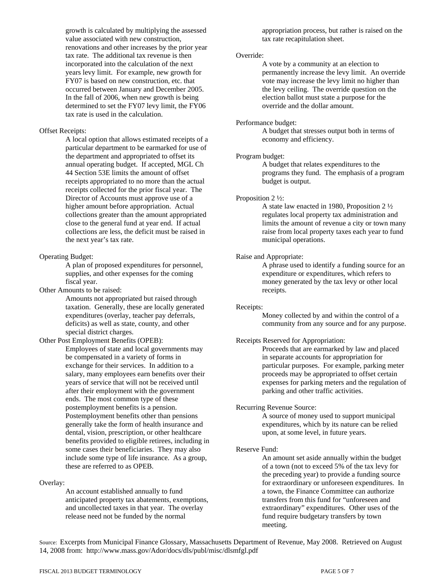growth is calculated by multiplying the assessed value associated with new construction, renovations and other increases by the prior year tax rate. The additional tax revenue is then incorporated into the calculation of the next years levy limit. For example, new growth for FY07 is based on new construction, etc. that occurred between January and December 2005. In the fall of 2006, when new growth is being determined to set the FY07 levy limit, the FY06 tax rate is used in the calculation.

#### Offset Receipts:

A local option that allows estimated receipts of a particular department to be earmarked for use of the department and appropriated to offset its annual operating budget. If accepted, MGL Ch 44 Section 53E limits the amount of offset receipts appropriated to no more than the actual receipts collected for the prior fiscal year. The Director of Accounts must approve use of a higher amount before appropriation. Actual collections greater than the amount appropriated close to the general fund at year end. If actual collections are less, the deficit must be raised in the next year's tax rate.

#### Operating Budget:

A plan of proposed expenditures for personnel, supplies, and other expenses for the coming fiscal year.

Other Amounts to be raised:

Amounts not appropriated but raised through taxation. Generally, these are locally generated expenditures (overlay, teacher pay deferrals, deficits) as well as state, county, and other special district charges.

# Other Post Employment Benefits (OPEB):

Employees of state and local governments may be compensated in a variety of forms in exchange for their services. In addition to a salary, many employees earn benefits over their years of service that will not be received until after their employment with the government ends. The most common type of these postemployment benefits is a pension. Postemployment benefits other than pensions generally take the form of health insurance and dental, vision, prescription, or other healthcare benefits provided to eligible retirees, including in some cases their beneficiaries. They may also include some type of life insurance. As a group, these are referred to as OPEB.

# Overlay:

An account established annually to fund anticipated property tax abatements, exemptions, and uncollected taxes in that year. The overlay release need not be funded by the normal

appropriation process, but rather is raised on the tax rate recapitulation sheet.

#### Override:

A vote by a community at an election to permanently increase the levy limit. An override vote may increase the levy limit no higher than the levy ceiling. The override question on the election ballot must state a purpose for the override and the dollar amount.

#### Performance budget:

A budget that stresses output both in terms of economy and efficiency.

## Program budget:

A budget that relates expenditures to the programs they fund. The emphasis of a program budget is output.

#### Proposition 2 ½:

A state law enacted in 1980, Proposition 2 ½ regulates local property tax administration and limits the amount of revenue a city or town many raise from local property taxes each year to fund municipal operations.

# Raise and Appropriate:

A phrase used to identify a funding source for an expenditure or expenditures, which refers to money generated by the tax levy or other local receipts.

#### Receipts:

Money collected by and within the control of a community from any source and for any purpose.

# Receipts Reserved for Appropriation:

Proceeds that are earmarked by law and placed in separate accounts for appropriation for particular purposes. For example, parking meter proceeds may be appropriated to offset certain expenses for parking meters and the regulation of parking and other traffic activities.

#### Recurring Revenue Source:

A source of money used to support municipal expenditures, which by its nature can be relied upon, at some level, in future years.

# Reserve Fund:

An amount set aside annually within the budget of a town (not to exceed 5% of the tax levy for the preceding year) to provide a funding source for extraordinary or unforeseen expenditures. In a town, the Finance Committee can authorize transfers from this fund for "unforeseen and extraordinary" expenditures. Other uses of the fund require budgetary transfers by town meeting.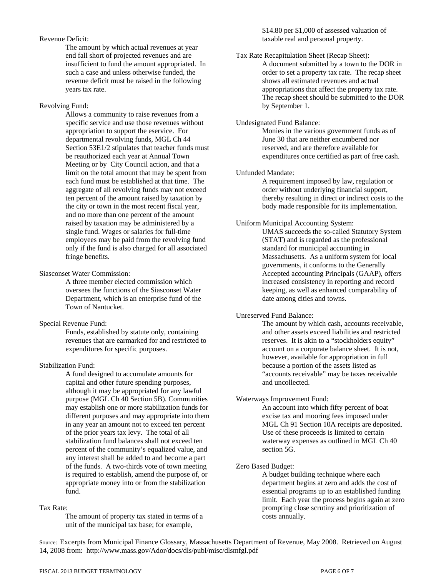# Revenue Deficit:

The amount by which actual revenues at year end fall short of projected revenues and are insufficient to fund the amount appropriated. In such a case and unless otherwise funded, the revenue deficit must be raised in the following years tax rate.

#### Revolving Fund:

Allows a community to raise revenues from a specific service and use those revenues without appropriation to support the eservice. For departmental revolving funds, MGL Ch 44 Section 53E1/2 stipulates that teacher funds must be reauthorized each year at Annual Town Meeting or by City Council action, and that a limit on the total amount that may be spent from each fund must be established at that time. The aggregate of all revolving funds may not exceed ten percent of the amount raised by taxation by the city or town in the most recent fiscal year, and no more than one percent of the amount raised by taxation may be administered by a single fund. Wages or salaries for full-time employees may be paid from the revolving fund only if the fund is also charged for all associated fringe benefits.

# Siasconset Water Commission:

 A three member elected commission which oversees the functions of the Siasconset Water Department, which is an enterprise fund of the Town of Nantucket.

#### Special Revenue Fund:

Funds, established by statute only, containing revenues that are earmarked for and restricted to expenditures for specific purposes.

# Stabilization Fund:

A fund designed to accumulate amounts for capital and other future spending purposes, although it may be appropriated for any lawful purpose (MGL Ch 40 Section 5B). Communities may establish one or more stabilization funds for different purposes and may appropriate into them in any year an amount not to exceed ten percent of the prior years tax levy. The total of all stabilization fund balances shall not exceed ten percent of the community's equalized value, and any interest shall be added to and become a part of the funds. A two-thirds vote of town meeting is required to establish, amend the purpose of, or appropriate money into or from the stabilization fund.

#### Tax Rate:

The amount of property tax stated in terms of a unit of the municipal tax base; for example,

# \$14.80 per \$1,000 of assessed valuation of taxable real and personal property.

#### Tax Rate Recapitulation Sheet (Recap Sheet):

A document submitted by a town to the DOR in order to set a property tax rate. The recap sheet shows all estimated revenues and actual appropriations that affect the property tax rate. The recap sheet should be submitted to the DOR by September 1.

#### Undesignated Fund Balance:

Monies in the various government funds as of June 30 that are neither encumbered nor reserved, and are therefore available for expenditures once certified as part of free cash.

#### Unfunded Mandate:

A requirement imposed by law, regulation or order without underlying financial support, thereby resulting in direct or indirect costs to the body made responsible for its implementation.

#### Uniform Municipal Accounting System:

UMAS succeeds the so-called Statutory System (STAT) and is regarded as the professional standard for municipal accounting in Massachusetts. As a uniform system for local governments, it conforms to the Generally Accepted accounting Principals (GAAP), offers increased consistency in reporting and record keeping, as well as enhanced comparability of date among cities and towns.

# Unreserved Fund Balance:

The amount by which cash, accounts receivable, and other assets exceed liabilities and restricted reserves. It is akin to a "stockholders equity" account on a corporate balance sheet. It is not, however, available for appropriation in full because a portion of the assets listed as "accounts receivable" may be taxes receivable and uncollected.

#### Waterways Improvement Fund:

An account into which fifty percent of boat excise tax and mooring fees imposed under MGL Ch 91 Section 10A receipts are deposited. Use of these proceeds is limited to certain waterway expenses as outlined in MGL Ch 40 section 5G.

# Zero Based Budget:

A budget building technique where each department begins at zero and adds the cost of essential programs up to an established funding limit. Each year the process begins again at zero prompting close scrutiny and prioritization of costs annually.